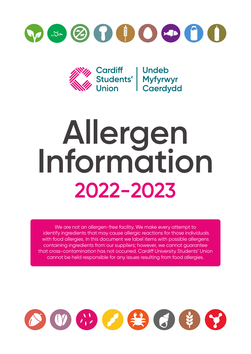



## **Allergen Information 2022-2023**

We are not an allergen-free facility. We make every attempt to identify ingredients that may cause allergic reactions for those individuals with food allergies. In this document we label items with possible allergens containing ingredients from our suppliers; however, we cannot guarantee that cross-contamination has not occurred. Cardiff University Students' Union cannot be held responsible for any issues resulting from food allergies.

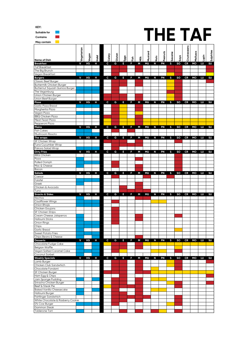| KEY:                                                                                                                                                                                                              |            |           |             |              |        |      |       |   |           |                |                |        |      |                  |           |      |           |
|-------------------------------------------------------------------------------------------------------------------------------------------------------------------------------------------------------------------|------------|-----------|-------------|--------------|--------|------|-------|---|-----------|----------------|----------------|--------|------|------------------|-----------|------|-----------|
| Suitable for                                                                                                                                                                                                      |            |           |             |              |        |      |       |   |           |                | <b>THE TAF</b> |        |      |                  |           |      |           |
| Contains                                                                                                                                                                                                          |            |           |             |              |        |      |       |   |           |                |                |        |      |                  |           |      |           |
| May contain                                                                                                                                                                                                       |            |           |             |              |        |      |       |   |           |                |                |        |      |                  |           |      |           |
|                                                                                                                                                                                                                   | Vegetarian |           |             |              |        |      |       |   |           |                |                |        |      | Crustaceans      |           |      |           |
| <b>Name of Dish</b>                                                                                                                                                                                               |            | Vegan     | <u>Tala</u> | Celery       | Gluten | Eggs | Fish  |   | Mustard   | Nuts           | Peanuts        | Sesame | Soya |                  | Molluscs  | aiqu | Sulphites |
| <b>Breakfast</b>                                                                                                                                                                                                  | v          | VG        | Н           | c            | G      | Е    | F     | M | <b>MU</b> | N              | PN             | s      | SO   | CR               | MO        | LU   | SU        |
| <b>Taf Breakfast</b><br>The Big Brunch                                                                                                                                                                            |            |           |             |              |        |      |       |   |           |                |                |        |      |                  |           |      |           |
| Vegan Breakfast                                                                                                                                                                                                   |            |           |             |              |        |      |       |   |           |                |                |        |      |                  |           |      |           |
| <b>Burgers</b><br>Classic Beef Burger                                                                                                                                                                             | v          | VG        | н           | c            | G      | E.   | F     | М | <b>MU</b> | N              | PN             | s      | so   | CR               | <b>MO</b> | LU   | SU        |
| Buttermilk Chicken Burger                                                                                                                                                                                         |            |           |             |              |        |      |       |   |           |                |                |        |      |                  |           |      |           |
| Butternut Squash Quinoa Burger<br>The Veganburg                                                                                                                                                                   |            |           |             |              |        |      |       |   |           |                |                |        |      |                  |           |      |           |
| Union Chicken Burger                                                                                                                                                                                              |            |           |             |              |        |      |       |   |           |                |                |        |      |                  |           |      |           |
| Union Beef Burger                                                                                                                                                                                                 |            |           |             |              |        |      |       |   |           |                |                |        |      |                  |           |      |           |
| Pizza<br>Garlic Pizza Bread                                                                                                                                                                                       | V          | VG        | н           | c            | G      | E.   | F     | M | <b>MU</b> | N              | PN             | s      | so   | CR               | MO        | LU   | SU        |
| Margherita Pizza                                                                                                                                                                                                  |            |           |             |              |        |      |       |   |           |                |                |        |      |                  |           |      |           |
| Vegan Pizza                                                                                                                                                                                                       |            |           |             |              |        |      |       |   |           |                |                |        |      |                  |           |      |           |
| <b>BBQ Chicken Pizza</b><br>Meat Feast Pizza                                                                                                                                                                      |            |           |             |              |        |      |       |   |           |                |                |        |      |                  |           |      |           |
| Pepperoni Pizza                                                                                                                                                                                                   |            |           |             |              |        |      |       |   |           |                |                |        |      |                  |           |      |           |
| <b>Mains</b>                                                                                                                                                                                                      | v          | VG        | н           | c            | G      | E    | F     | М | <b>MU</b> | N              | PN             | s      | so   | CR               | MO        | LU   | <b>SU</b> |
| <b>Fish Cakes</b><br>Mushroom Rissoto                                                                                                                                                                             |            |           |             |              |        |      |       |   |           |                |                |        |      |                  |           |      |           |
| The wraps                                                                                                                                                                                                         | V          | VG        | н           | c            | G      | E    | F     | M | <b>MU</b> | N              | PN             | s      | so   | CR               | MO        | LU   | SU        |
| <b>SF Chicken Wrap</b><br>Tuna Cucumber Wrap                                                                                                                                                                      |            |           |             |              |        |      |       |   |           |                |                |        |      |                  |           |      |           |
| Pakora Salad Wrap                                                                                                                                                                                                 |            |           |             |              |        |      |       |   |           |                |                |        |      |                  |           |      |           |
| <b>Dirty Fries</b>                                                                                                                                                                                                | v          | VG        | н           | c            | G      | E.   | F.    | М | <b>MU</b> | N              | PN             | s      | so   | CR               | MO        | LU   | SU        |
| <b>BBQ Chicken</b><br>Pizza                                                                                                                                                                                       |            |           |             |              |        |      |       |   |           |                |                |        |      |                  |           |      |           |
| Pulled Oomph                                                                                                                                                                                                      |            |           |             |              |        |      |       |   |           |                |                |        |      |                  |           |      |           |
| Mac & Cheese<br>Bacon                                                                                                                                                                                             |            |           |             |              |        |      |       |   |           |                |                |        |      |                  |           |      |           |
| <b>Salads</b>                                                                                                                                                                                                     | v          | VG        | н           | c            | G      | Е    | F     | M | <b>MU</b> | N              | PN             | s      | so   | CR               | MO        | LU   | SU        |
| Caesar                                                                                                                                                                                                            |            |           |             |              |        |      |       |   |           |                |                |        |      |                  |           |      |           |
| Falafel<br>Greek                                                                                                                                                                                                  |            |           |             |              |        |      |       |   |           |                |                |        |      |                  |           |      |           |
| Chicken & Avocado                                                                                                                                                                                                 |            |           |             |              |        |      |       |   |           |                |                |        |      |                  |           |      |           |
| Tuna                                                                                                                                                                                                              |            |           |             |              |        |      |       |   |           |                |                |        |      |                  |           |      |           |
| <b>Snacks &amp; Sides</b><br>Nachos                                                                                                                                                                               | v          | <b>VG</b> | <b>H</b>    | $\mathbf{C}$ | G      |      | E F M |   | MU        | $\blacksquare$ | <b>PN</b>      |        |      | S SO CR MO LU SU |           |      |           |
| Cauliflower Wings                                                                                                                                                                                                 |            |           |             |              |        |      |       |   |           |                |                |        |      |                  |           |      |           |
| Onion Bhajis<br>Chicken Goujons                                                                                                                                                                                   |            |           |             |              |        |      |       |   |           |                |                |        |      |                  |           |      |           |
| SF Chicken Strips                                                                                                                                                                                                 |            |           |             |              |        |      |       |   |           |                |                |        |      |                  |           |      |           |
| Cream Cheese Jalapenos                                                                                                                                                                                            |            |           |             |              |        |      |       |   |           |                |                |        |      |                  |           |      |           |
| Halloumi Sticks<br>Onion Rings                                                                                                                                                                                    |            |           |             |              |        |      |       |   |           |                |                |        |      |                  |           |      |           |
| Chips                                                                                                                                                                                                             |            |           |             |              |        |      |       |   |           |                |                |        |      |                  |           |      |           |
| Garlic Bread<br><b>Sweet Potato Fries</b>                                                                                                                                                                         |            |           |             |              |        |      |       |   |           |                |                |        |      |                  |           |      |           |
| Chips Beans & Cheese                                                                                                                                                                                              |            |           |             |              |        |      |       |   |           |                |                |        |      |                  |           |      |           |
| <b>Desserts</b>                                                                                                                                                                                                   | v          | VG        | н           | c            | G      | E.   | F     | M | <b>MU</b> | N              | <b>PN</b>      | S.     | SO   |                  | CR MO LU  |      | SU        |
| Chocolate Fudge Cake<br>Belgian Waffle                                                                                                                                                                            |            |           |             |              |        |      |       |   |           |                |                |        |      |                  |           |      |           |
| Vegan Salted Caramel Cake                                                                                                                                                                                         |            |           |             |              |        |      |       |   |           |                |                |        |      |                  |           |      |           |
| Coconut Sorbet                                                                                                                                                                                                    |            |           |             |              |        |      |       |   |           |                |                |        |      |                  |           |      |           |
| <b>Weekly Specials</b><br>Lamb Burger                                                                                                                                                                             | V          | VG        | н           | c            | G      | E.   | F     | M | <b>MU</b> | N              | PN             | S      | so   |                  | CR MO     | LU   | <b>SU</b> |
| Chicken Club Sandwhich                                                                                                                                                                                            |            |           |             |              |        |      |       |   |           |                |                |        |      |                  |           |      |           |
| Chocolate Fondant                                                                                                                                                                                                 |            |           |             |              |        |      |       |   |           |                |                |        |      |                  |           |      |           |
| SF Chicken Burger<br>Ham Egg & Chips                                                                                                                                                                              |            |           |             |              |        |      |       |   |           |                |                |        |      |                  |           |      |           |
| Jam Sponge Pudding                                                                                                                                                                                                |            |           |             |              |        |      |       |   |           |                |                |        |      |                  |           |      |           |
|                                                                                                                                                                                                                   |            |           |             |              |        |      |       |   |           |                |                |        |      |                  |           |      |           |
|                                                                                                                                                                                                                   |            |           |             |              |        |      |       |   |           |                |                |        |      |                  |           |      |           |
|                                                                                                                                                                                                                   |            |           |             |              |        |      |       |   |           |                |                |        |      |                  |           |      |           |
|                                                                                                                                                                                                                   |            |           |             |              |        |      |       |   |           |                |                |        |      |                  |           |      |           |
|                                                                                                                                                                                                                   |            |           |             |              |        |      |       |   |           |                |                |        |      |                  |           |      |           |
|                                                                                                                                                                                                                   |            |           |             |              |        |      |       |   |           |                |                |        |      |                  |           |      |           |
| Sriracha Chicken Burger<br>Beef & Steak Pie<br><b>Baked Vanilla Cheesecake</b><br>Halloumi Burger<br>Fishfinger Sandwhich<br>White Chocolate & Rasberry Cookie<br>0% Cow Burger<br>Gammon Steak<br>Toblerone Tart |            |           |             |              |        |      |       |   |           |                |                |        |      |                  |           |      |           |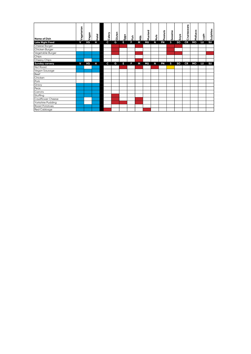| Name of Dish           | Vegetarian | Vegan | $rac{1}{2}$ | Celery       | Gluten | Eggs | Fish | ĚΣ | Mustard   | <b>Nuts</b> | Peanuts | Sesame | Soya      | Crustaceans | Molluscs | iquin | Sulphites |
|------------------------|------------|-------|-------------|--------------|--------|------|------|----|-----------|-------------|---------|--------|-----------|-------------|----------|-------|-----------|
| <b>Late Night Food</b> | v          | VG    | Н           | $\mathbf{C}$ | G      | п    | F    | М  | <b>MU</b> | N           | PN      | s      | <b>SO</b> | CR          | MO       | LU    | SU        |
| Cheese Burger          |            |       |             |              |        |      |      |    |           |             |         |        |           |             |          |       |           |
| Chicken Burger         |            |       |             |              |        |      |      |    |           |             |         |        |           |             |          |       |           |
| Vegetable Burger       |            |       |             |              |        |      |      |    |           |             |         |        |           |             |          |       |           |
| Chips                  |            |       |             |              |        |      |      |    |           |             |         |        |           |             |          |       |           |
| Cheesy Chips           |            |       |             |              |        |      |      |    |           |             |         |        |           |             |          |       |           |
| <b>Sunday carvery</b>  | v          | VG    | н           | C            | G      | н    | F    | М  | <b>MU</b> | N           | PN      | s      | <b>SO</b> | CR          | MO       | LU    | <b>SU</b> |
| Nut Roast              |            |       |             |              |        |      |      |    |           |             |         |        |           |             |          |       |           |
| Vegan Sausage          |            |       |             |              |        |      |      |    |           |             |         |        |           |             |          |       |           |
| Beef                   |            |       |             |              |        |      |      |    |           |             |         |        |           |             |          |       |           |
| Chicken                |            |       |             |              |        |      |      |    |           |             |         |        |           |             |          |       |           |
| Pork                   |            |       |             |              |        |      |      |    |           |             |         |        |           |             |          |       |           |
| Gravy                  |            |       |             |              |        |      |      |    |           |             |         |        |           |             |          |       |           |
| Peas                   |            |       |             |              |        |      |      |    |           |             |         |        |           |             |          |       |           |
| Carrots                |            |       |             |              |        |      |      |    |           |             |         |        |           |             |          |       |           |
| Stuffing               |            |       |             |              |        |      |      |    |           |             |         |        |           |             |          |       |           |
| Cauliflower Cheese     |            |       |             |              |        |      |      |    |           |             |         |        |           |             |          |       |           |
| Yorkshire Pudding      |            |       |             |              |        |      |      |    |           |             |         |        |           |             |          |       |           |
| Roast Potatoes         |            |       |             |              |        |      |      |    |           |             |         |        |           |             |          |       |           |
| Red Cabbage            |            |       |             |              |        |      |      |    |           |             |         |        |           |             |          |       |           |